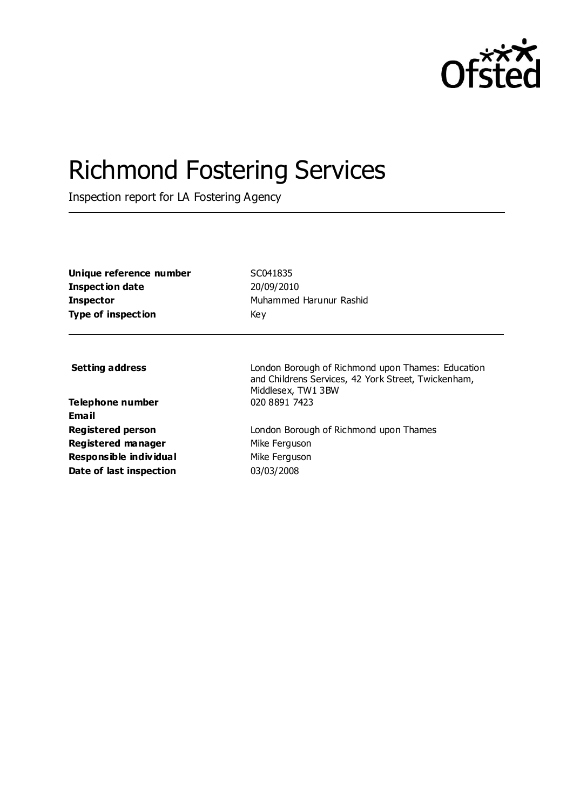

# Richmond Fostering Services

Inspection report for LA Fostering Agency

| Unique reference number<br><b>Inspection date</b><br><b>Inspector</b><br><b>Type of inspection</b> | SC041835<br>20/09/2010<br>Muhammed Harunur Rashid<br>Key                                                                       |
|----------------------------------------------------------------------------------------------------|--------------------------------------------------------------------------------------------------------------------------------|
| <b>Setting address</b>                                                                             | London Borough of Richmond upon Thames: Education<br>and Childrens Services, 42 York Street, Twickenham,<br>Middlesex, TW1 3BW |
| Telephone number<br><b>Email</b>                                                                   | 020 8891 7423                                                                                                                  |
| <b>Registered person</b>                                                                           | London Borough of Richmond upon Thames                                                                                         |
| Registered manager                                                                                 | Mike Ferguson                                                                                                                  |
| Responsible individual                                                                             | Mike Ferguson                                                                                                                  |
| Date of last inspection                                                                            | 03/03/2008                                                                                                                     |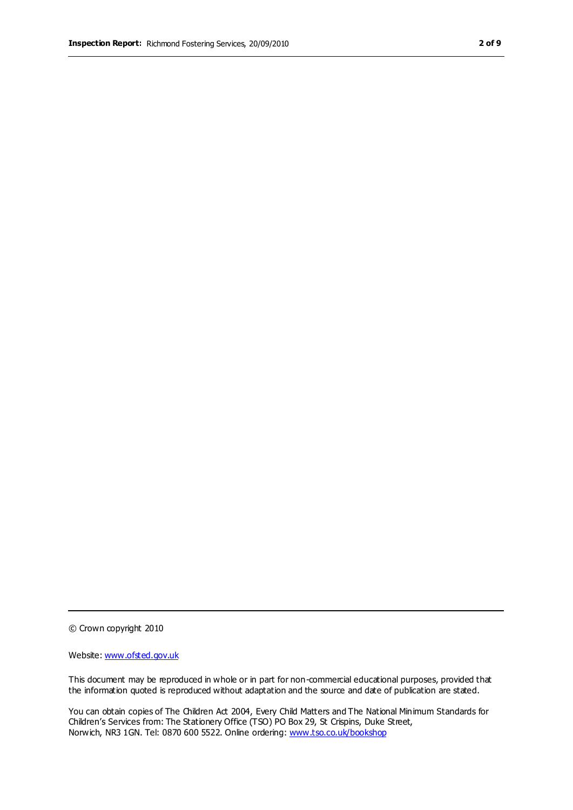© Crown copyright 2010

Website: www.ofsted.gov.uk

This document may be reproduced in whole or in part for non-commercial educational purposes, provided that the information quoted is reproduced without adaptation and the source and date of publication are stated.

You can obtain copies of The Children Act 2004, Every Child Matters and The National Minimum Standards for Children's Services from: The Stationery Office (TSO) PO Box 29, St Crispins, Duke Street, Norwich, NR3 1GN. Tel: 0870 600 5522. Online ordering: www.tso.co.uk/bookshop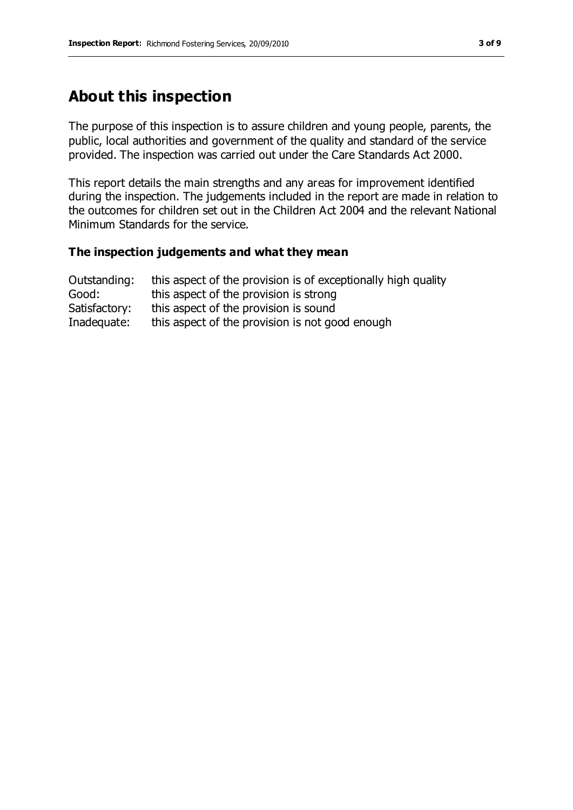# **About this inspection**

The purpose of this inspection is to assure children and young people, parents, the public, local authorities and government of the quality and standard of the service provided. The inspection was carried out under the Care Standards Act 2000.

This report details the main strengths and any areas for improvement identified during the inspection. The judgements included in the report are made in relation to the outcomes for children set out in the Children Act 2004 and the relevant National Minimum Standards for the service.

#### **The inspection judgements and what they mean**

| Outstanding:  | this aspect of the provision is of exceptionally high quality |
|---------------|---------------------------------------------------------------|
| Good:         | this aspect of the provision is strong                        |
| Satisfactory: | this aspect of the provision is sound                         |
| Inadequate:   | this aspect of the provision is not good enough               |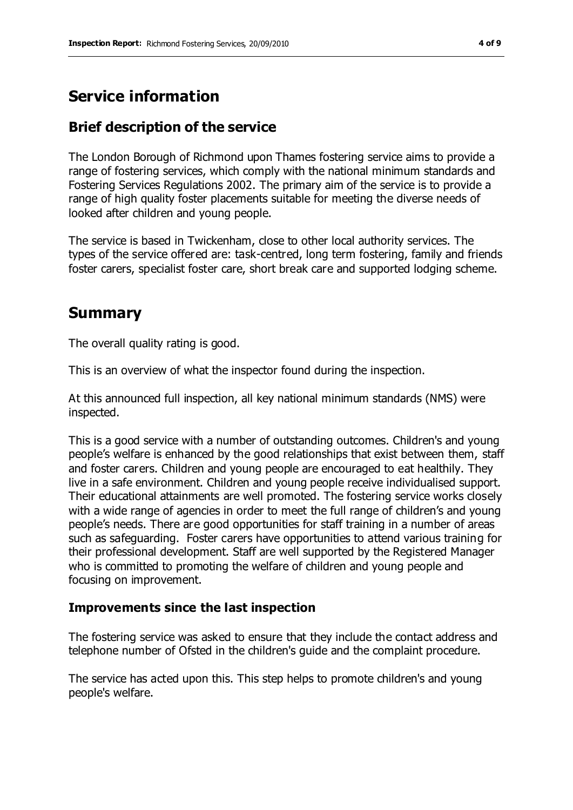# **Service information**

# **Brief description of the service**

The London Borough of Richmond upon Thames fostering service aims to provide a range of fostering services, which comply with the national minimum standards and Fostering Services Regulations 2002. The primary aim of the service is to provide a range of high quality foster placements suitable for meeting the diverse needs of looked after children and young people.

The service is based in Twickenham, close to other local authority services. The types of the service offered are: task-centred, long term fostering, family and friends foster carers, specialist foster care, short break care and supported lodging scheme.

# **Summary**

The overall quality rating is good.

This is an overview of what the inspector found during the inspection.

At this announced full inspection, all key national minimum standards (NMS) were inspected.

This is a good service with a number of outstanding outcomes. Children's and young people's welfare is enhanced by the good relationships that exist between them, staff and foster carers. Children and young people are encouraged to eat healthily. They live in a safe environment. Children and young people receive individualised support. Their educational attainments are well promoted. The fostering service works closely with a wide range of agencies in order to meet the full range of children's and young people's needs. There are good opportunities for staff training in a number of areas such as safeguarding. Foster carers have opportunities to attend various training for their professional development. Staff are well supported by the Registered Manager who is committed to promoting the welfare of children and young people and focusing on improvement.

## **Improvements since the last inspection**

The fostering service was asked to ensure that they include the contact address and telephone number of Ofsted in the children's guide and the complaint procedure.

The service has acted upon this. This step helps to promote children's and young people's welfare.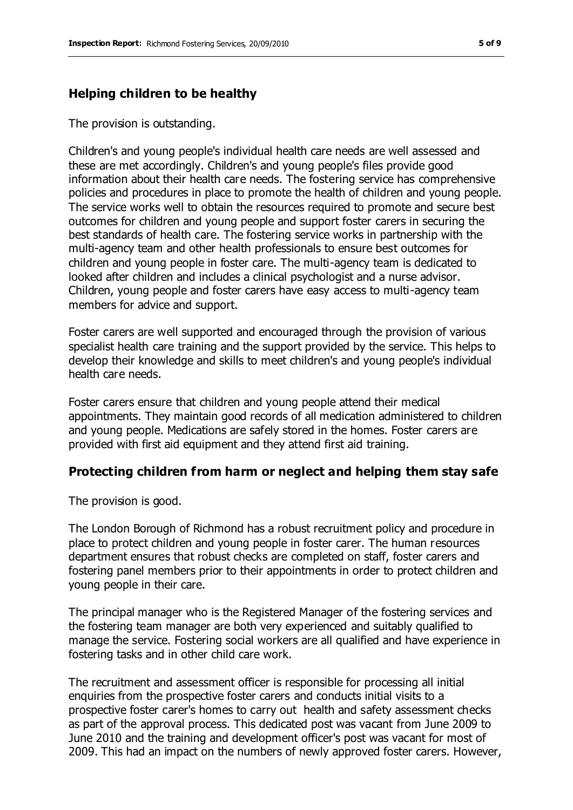#### **Helping children to be healthy**

The provision is outstanding.

Children's and young people's individual health care needs are well assessed and these are met accordingly. Children's and young people's files provide good information about their health care needs. The fostering service has comprehensive policies and procedures in place to promote the health of children and young people. The service works well to obtain the resources required to promote and secure best outcomes for children and young people and support foster carers in securing the best standards of health care. The fostering service works in partnership with the multi-agency team and other health professionals to ensure best outcomes for children and young people in foster care. The multi-agency team is dedicated to looked after children and includes a clinical psychologist and a nurse advisor. Children, young people and foster carers have easy access to multi-agency team members for advice and support.

Foster carers are well supported and encouraged through the provision of various specialist health care training and the support provided by the service. This helps to develop their knowledge and skills to meet children's and young people's individual health care needs.

Foster carers ensure that children and young people attend their medical appointments. They maintain good records of all medication administered to children and young people. Medications are safely stored in the homes. Foster carers are provided with first aid equipment and they attend first aid training.

#### **Protecting children from harm or neglect and helping them stay safe**

The provision is good.

The London Borough of Richmond has a robust recruitment policy and procedure in place to protect children and young people in foster carer. The human resources department ensures that robust checks are completed on staff, foster carers and fostering panel members prior to their appointments in order to protect children and young people in their care.

The principal manager who is the Registered Manager of the fostering services and the fostering team manager are both very experienced and suitably qualified to manage the service. Fostering social workers are all qualified and have experience in fostering tasks and in other child care work.

The recruitment and assessment officer is responsible for processing all initial enquiries from the prospective foster carers and conducts initial visits to a prospective foster carer's homes to carry out health and safety assessment checks as part of the approval process. This dedicated post was vacant from June 2009 to June 2010 and the training and development officer's post was vacant for most of 2009. This had an impact on the numbers of newly approved foster carers. However,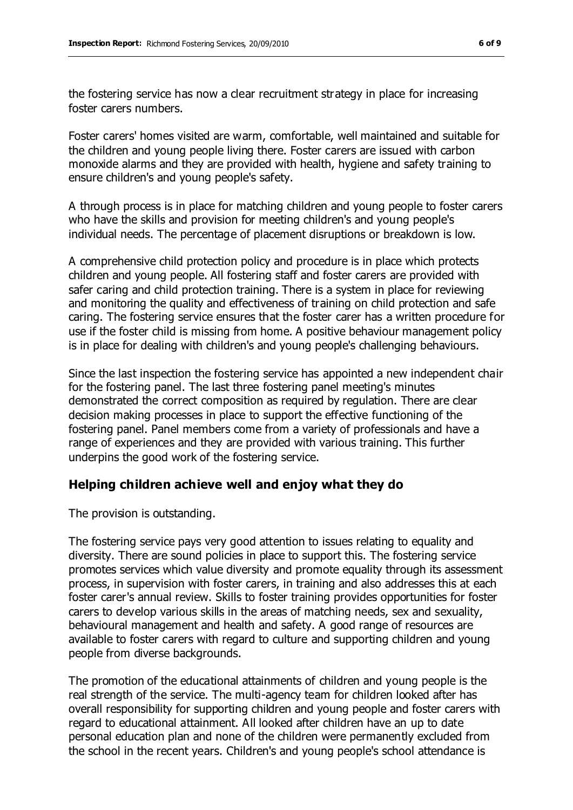the fostering service has now a clear recruitment strategy in place for increasing foster carers numbers.

Foster carers' homes visited are warm, comfortable, well maintained and suitable for the children and young people living there. Foster carers are issued with carbon monoxide alarms and they are provided with health, hygiene and safety training to ensure children's and young people's safety.

A through process is in place for matching children and young people to foster carers who have the skills and provision for meeting children's and young people's individual needs. The percentage of placement disruptions or breakdown is low.

A comprehensive child protection policy and procedure is in place which protects children and young people. All fostering staff and foster carers are provided with safer caring and child protection training. There is a system in place for reviewing and monitoring the quality and effectiveness of training on child protection and safe caring. The fostering service ensures that the foster carer has a written procedure for use if the foster child is missing from home. A positive behaviour management policy is in place for dealing with children's and young people's challenging behaviours.

Since the last inspection the fostering service has appointed a new independent chair for the fostering panel. The last three fostering panel meeting's minutes demonstrated the correct composition as required by regulation. There are clear decision making processes in place to support the effective functioning of the fostering panel. Panel members come from a variety of professionals and have a range of experiences and they are provided with various training. This further underpins the good work of the fostering service.

## **Helping children achieve well and enjoy what they do**

The provision is outstanding.

The fostering service pays very good attention to issues relating to equality and diversity. There are sound policies in place to support this. The fostering service promotes services which value diversity and promote equality through its assessment process, in supervision with foster carers, in training and also addresses this at each foster carer's annual review. Skills to foster training provides opportunities for foster carers to develop various skills in the areas of matching needs, sex and sexuality, behavioural management and health and safety. A good range of resources are available to foster carers with regard to culture and supporting children and young people from diverse backgrounds.

The promotion of the educational attainments of children and young people is the real strength of the service. The multi-agency team for children looked after has overall responsibility for supporting children and young people and foster carers with regard to educational attainment. All looked after children have an up to date personal education plan and none of the children were permanently excluded from the school in the recent years. Children's and young people's school attendance is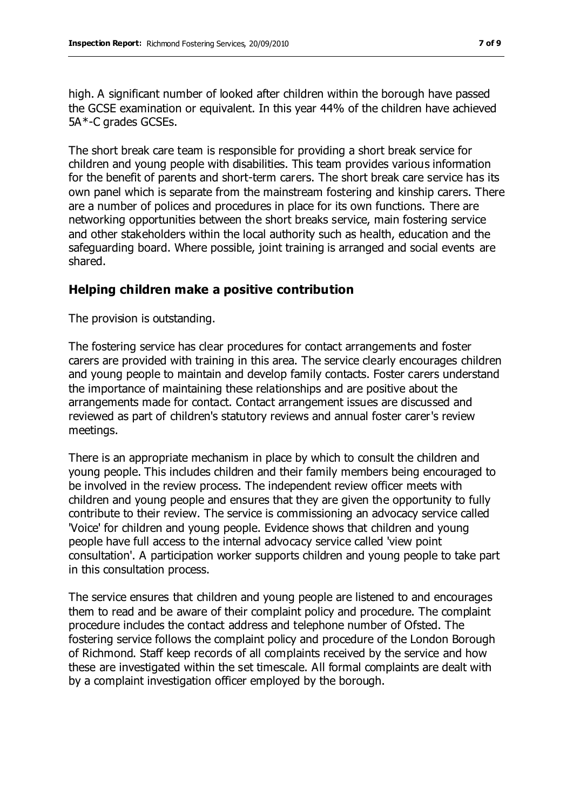high. A significant number of looked after children within the borough have passed the GCSE examination or equivalent. In this year 44% of the children have achieved 5A\*-C grades GCSEs.

The short break care team is responsible for providing a short break service for children and young people with disabilities. This team provides various information for the benefit of parents and short-term carers. The short break care service has its own panel which is separate from the mainstream fostering and kinship carers. There are a number of polices and procedures in place for its own functions. There are networking opportunities between the short breaks service, main fostering service and other stakeholders within the local authority such as health, education and the safeguarding board. Where possible, joint training is arranged and social events are shared.

#### **Helping children make a positive contribution**

The provision is outstanding.

The fostering service has clear procedures for contact arrangements and foster carers are provided with training in this area. The service clearly encourages children and young people to maintain and develop family contacts. Foster carers understand the importance of maintaining these relationships and are positive about the arrangements made for contact. Contact arrangement issues are discussed and reviewed as part of children's statutory reviews and annual foster carer's review meetings.

There is an appropriate mechanism in place by which to consult the children and young people. This includes children and their family members being encouraged to be involved in the review process. The independent review officer meets with children and young people and ensures that they are given the opportunity to fully contribute to their review. The service is commissioning an advocacy service called 'Voice' for children and young people. Evidence shows that children and young people have full access to the internal advocacy service called 'view point consultation'. A participation worker supports children and young people to take part in this consultation process.

The service ensures that children and young people are listened to and encourages them to read and be aware of their complaint policy and procedure. The complaint procedure includes the contact address and telephone number of Ofsted. The fostering service follows the complaint policy and procedure of the London Borough of Richmond. Staff keep records of all complaints received by the service and how these are investigated within the set timescale. All formal complaints are dealt with by a complaint investigation officer employed by the borough.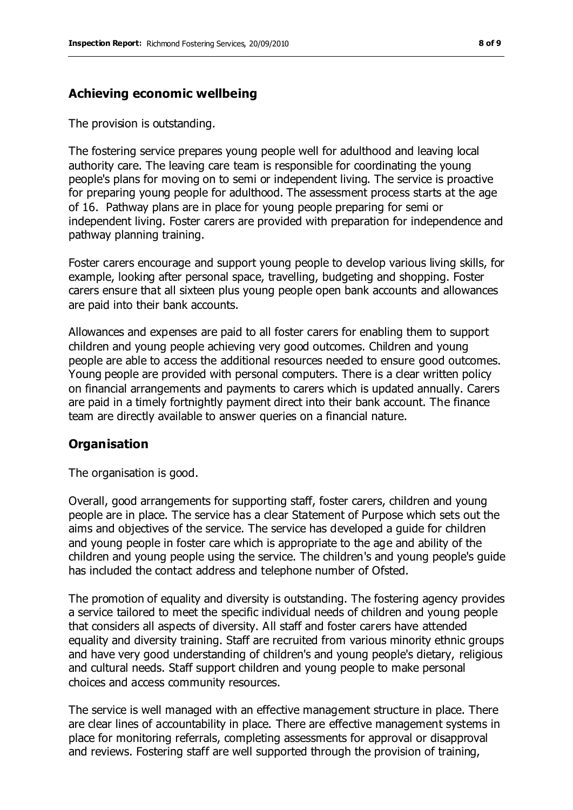## **Achieving economic wellbeing**

The provision is outstanding.

The fostering service prepares young people well for adulthood and leaving local authority care. The leaving care team is responsible for coordinating the young people's plans for moving on to semi or independent living. The service is proactive for preparing young people for adulthood. The assessment process starts at the age of 16. Pathway plans are in place for young people preparing for semi or independent living. Foster carers are provided with preparation for independence and pathway planning training.

Foster carers encourage and support young people to develop various living skills, for example, looking after personal space, travelling, budgeting and shopping. Foster carers ensure that all sixteen plus young people open bank accounts and allowances are paid into their bank accounts.

Allowances and expenses are paid to all foster carers for enabling them to support children and young people achieving very good outcomes. Children and young people are able to access the additional resources needed to ensure good outcomes. Young people are provided with personal computers. There is a clear written policy on financial arrangements and payments to carers which is updated annually. Carers are paid in a timely fortnightly payment direct into their bank account. The finance team are directly available to answer queries on a financial nature.

## **Organisation**

The organisation is good.

Overall, good arrangements for supporting staff, foster carers, children and young people are in place. The service has a clear Statement of Purpose which sets out the aims and objectives of the service. The service has developed a guide for children and young people in foster care which is appropriate to the age and ability of the children and young people using the service. The children's and young people's guide has included the contact address and telephone number of Ofsted.

The promotion of equality and diversity is outstanding. The fostering agency provides a service tailored to meet the specific individual needs of children and young people that considers all aspects of diversity. All staff and foster carers have attended equality and diversity training. Staff are recruited from various minority ethnic groups and have very good understanding of children's and young people's dietary, religious and cultural needs. Staff support children and young people to make personal choices and access community resources.

The service is well managed with an effective management structure in place. There are clear lines of accountability in place. There are effective management systems in place for monitoring referrals, completing assessments for approval or disapproval and reviews. Fostering staff are well supported through the provision of training,